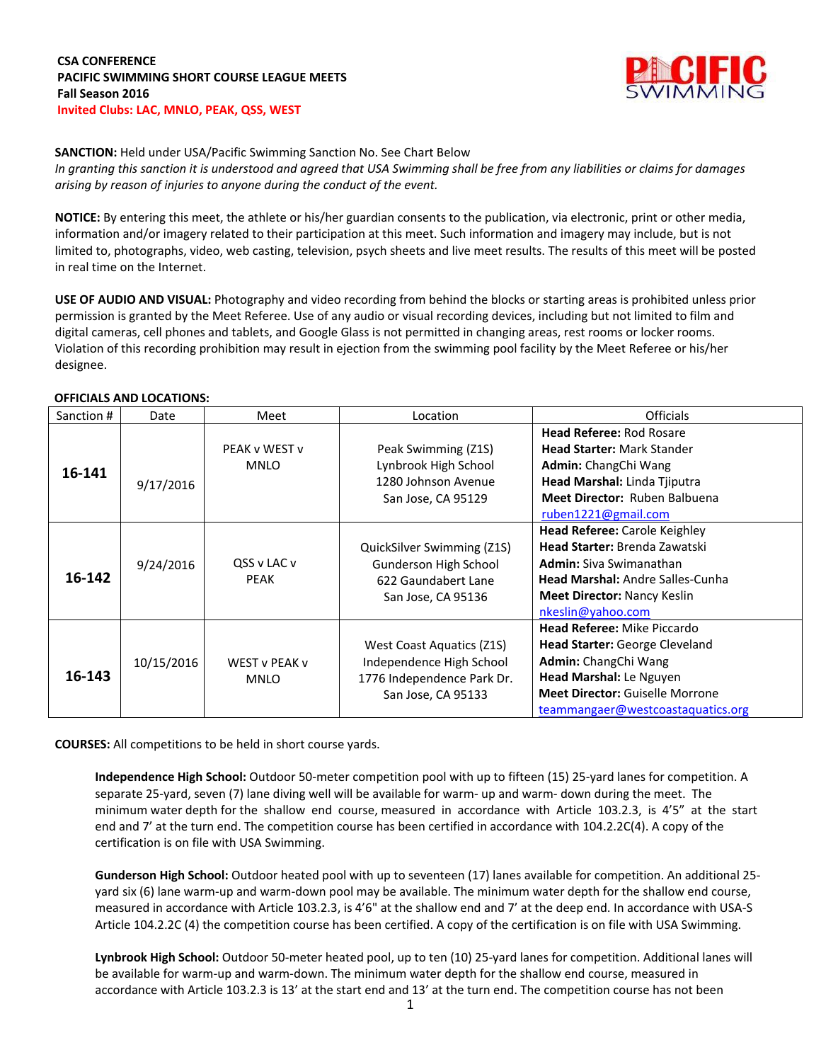

**SANCTION:** Held under USA/Pacific Swimming Sanction No. See Chart Below *In granting this sanction it is understood and agreed that USA Swimming shall be free from any liabilities or claims for damages arising by reason of injuries to anyone during the conduct of the event.*

**NOTICE:** By entering this meet, the athlete or his/her guardian consents to the publication, via electronic, print or other media, information and/or imagery related to their participation at this meet. Such information and imagery may include, but is not limited to, photographs, video, web casting, television, psych sheets and live meet results. The results of this meet will be posted in real time on the Internet.

**USE OF AUDIO AND VISUAL:** Photography and video recording from behind the blocks or starting areas is prohibited unless prior permission is granted by the Meet Referee. Use of any audio or visual recording devices, including but not limited to film and digital cameras, cell phones and tablets, and Google Glass is not permitted in changing areas, rest rooms or locker rooms. Violation of this recording prohibition may result in ejection from the swimming pool facility by the Meet Referee or his/her designee.

### **OFFICIALS AND LOCATIONS:**

| Sanction # | Date       | Meet          | Location                   | <b>Officials</b>                        |
|------------|------------|---------------|----------------------------|-----------------------------------------|
|            |            |               |                            | <b>Head Referee: Rod Rosare</b>         |
|            |            | PEAK v WEST v | Peak Swimming (Z1S)        | <b>Head Starter: Mark Stander</b>       |
| 16-141     |            | <b>MNLO</b>   | Lynbrook High School       | <b>Admin:</b> ChangChi Wang             |
|            | 9/17/2016  |               | 1280 Johnson Avenue        | Head Marshal: Linda Tjiputra            |
|            |            |               | San Jose, CA 95129         | <b>Meet Director: Ruben Balbuena</b>    |
|            |            |               |                            | ruben1221@gmail.com                     |
|            |            |               |                            | <b>Head Referee: Carole Keighley</b>    |
|            |            |               | QuickSilver Swimming (Z1S) | <b>Head Starter: Brenda Zawatski</b>    |
|            | 9/24/2016  | QSS v LAC v   | Gunderson High School      | <b>Admin:</b> Siva Swimanathan          |
| 16-142     |            | <b>PEAK</b>   | 622 Gaundabert Lane        | <b>Head Marshal: Andre Salles-Cunha</b> |
|            |            |               | San Jose, CA 95136         | <b>Meet Director: Nancy Keslin</b>      |
|            |            |               |                            | nkeslin@yahoo.com                       |
|            |            |               |                            | <b>Head Referee: Mike Piccardo</b>      |
|            |            |               | West Coast Aquatics (Z1S)  | <b>Head Starter:</b> George Cleveland   |
|            | 10/15/2016 | WEST v PEAK v | Independence High School   | <b>Admin:</b> ChangChi Wang             |
| 16-143     |            | <b>MNLO</b>   | 1776 Independence Park Dr. | Head Marshal: Le Nguyen                 |
|            |            |               | San Jose, CA 95133         | <b>Meet Director: Guiselle Morrone</b>  |
|            |            |               |                            | teammangaer@westcoastaquatics.org       |

**COURSES:** All competitions to be held in short course yards.

**Independence High School:** Outdoor 50-meter competition pool with up to fifteen (15) 25-yard lanes for competition. A separate 25-yard, seven (7) lane diving well will be available for warm- up and warm- down during the meet. The minimum water depth for the shallow end course, measured in accordance with Article 103.2.3, is 4'5" at the start end and 7' at the turn end. The competition course has been certified in accordance with 104.2.2C(4). A copy of the certification is on file with USA Swimming.

**Gunderson High School:** Outdoor heated pool with up to seventeen (17) lanes available for competition. An additional 25 yard six (6) lane warm-up and warm-down pool may be available. The minimum water depth for the shallow end course, measured in accordance with Article 103.2.3, is 4'6" at the shallow end and 7' at the deep end. In accordance with USA-S Article 104.2.2C (4) the competition course has been certified. A copy of the certification is on file with USA Swimming.

**Lynbrook High School:** Outdoor 50-meter heated pool, up to ten (10) 25-yard lanes for competition. Additional lanes will be available for warm-up and warm-down. The minimum water depth for the shallow end course, measured in accordance with Article 103.2.3 is 13' at the start end and 13' at the turn end. The competition course has not been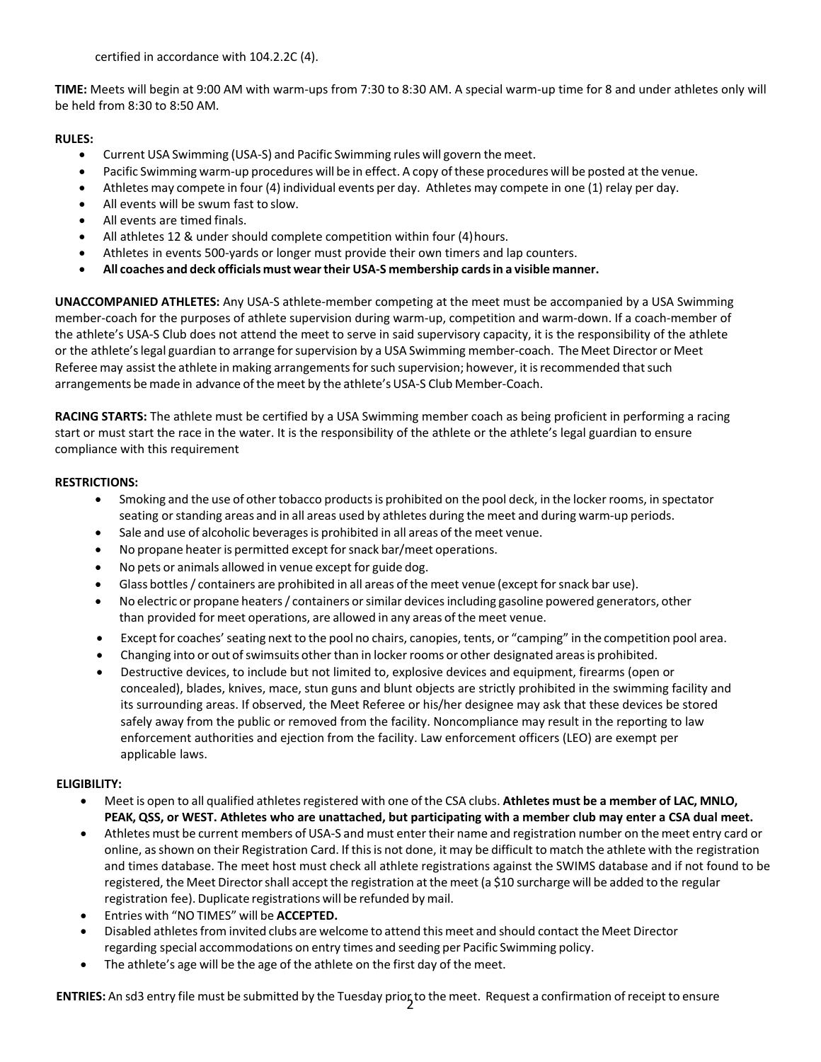certified in accordance with 104.2.2C (4).

**TIME:** Meets will begin at 9:00 AM with warm-ups from 7:30 to 8:30 AM. A special warm-up time for 8 and under athletes only will be held from 8:30 to 8:50 AM.

## **RULES:**

- Current USA Swimming (USA-S) and Pacific Swimming rules will govern the meet.
- Pacific Swimming warm-up procedures will be in effect. A copy of these procedures will be posted at the venue.
- Athletes may compete in four (4) individual events per day. Athletes may compete in one (1) relay per day.
- All events will be swum fast to slow.
- All events are timed finals.
- All athletes 12 & under should complete competition within four (4)hours.
- Athletes in events 500-yards or longer must provide their own timers and lap counters.
- **All coaches and deck officials must weartheir USA-S membership cardsin a visible manner.**

**UNACCOMPANIED ATHLETES:** Any USA-S athlete-member competing at the meet must be accompanied by a USA Swimming member-coach for the purposes of athlete supervision during warm-up, competition and warm-down. If a coach-member of the athlete's USA-S Club does not attend the meet to serve in said supervisory capacity, it is the responsibility of the athlete or the athlete'slegal guardian to arrange forsupervision by a USA Swimming member-coach. The Meet Director or Meet Referee may assist the athlete in making arrangements for such supervision; however, it is recommended that such arrangements be made in advance of the meet by the athlete's USA-S Club Member-Coach.

**RACING STARTS:** The athlete must be certified by a USA Swimming member coach as being proficient in performing a racing start or must start the race in the water. It is the responsibility of the athlete or the athlete's legal guardian to ensure compliance with this requirement

# **RESTRICTIONS:**

- Smoking and the use of othertobacco productsis prohibited on the pool deck, in the locker rooms, in spectator seating orstanding areas and in all areas used by athletes during the meet and during warm-up periods.
- Sale and use of alcoholic beverages is prohibited in all areas of the meet venue.
- No propane heater is permitted except for snack bar/meet operations.
- No pets or animals allowed in venue except for guide dog.
- Glass bottles/ containers are prohibited in all areas of the meet venue (except forsnack bar use).
- No electric or propane heaters/ containers orsimilar devicesincluding gasoline powered generators, other than provided for meet operations, are allowed in any areas of the meet venue.
- Except for coaches'seating next to the pool no chairs, canopies, tents, or "camping" in the competition pool area.
- Changing into or out of swimsuits other than in locker rooms or other designated areas is prohibited.
- Destructive devices, to include but not limited to, explosive devices and equipment, firearms (open or concealed), blades, knives, mace, stun guns and blunt objects are strictly prohibited in the swimming facility and its surrounding areas. If observed, the Meet Referee or his/her designee may ask that these devices be stored safely away from the public or removed from the facility. Noncompliance may result in the reporting to law enforcement authorities and ejection from the facility. Law enforcement officers (LEO) are exempt per applicable laws.

### **ELIGIBILITY:**

- Meet is open to all qualified athletesregistered with one ofthe CSA clubs. **Athletes must be a member of LAC, MNLO, PEAK, QSS, or WEST. Athletes who are unattached, but participating with a member club may enter a CSA dual meet.**
- Athletes must be current members of USA-S and must enter their name and registration number on the meet entry card or online, asshown on their Registration Card. If thisis not done, it may be difficult to match the athlete with the registration and times database. The meet host must check all athlete registrations against the SWIMS database and if not found to be registered, the Meet Directorshall accept the registration atthe meet (a \$10 surcharge will be added to the regular registration fee). Duplicate registrations will be refunded by mail.
- Entries with "NO TIMES" will be **ACCEPTED.**
- Disabled athletesfrom invited clubs are welcome to attend this meet and should contact the Meet Director regarding special accommodations on entry times and seeding per Pacific Swimming policy.
- The athlete's age will be the age of the athlete on the first day of the meet.

**ENTRIES:** An sd3 entry file must be submitted by the Tuesday prior to the meet. Request a confirmation of receipt to ensure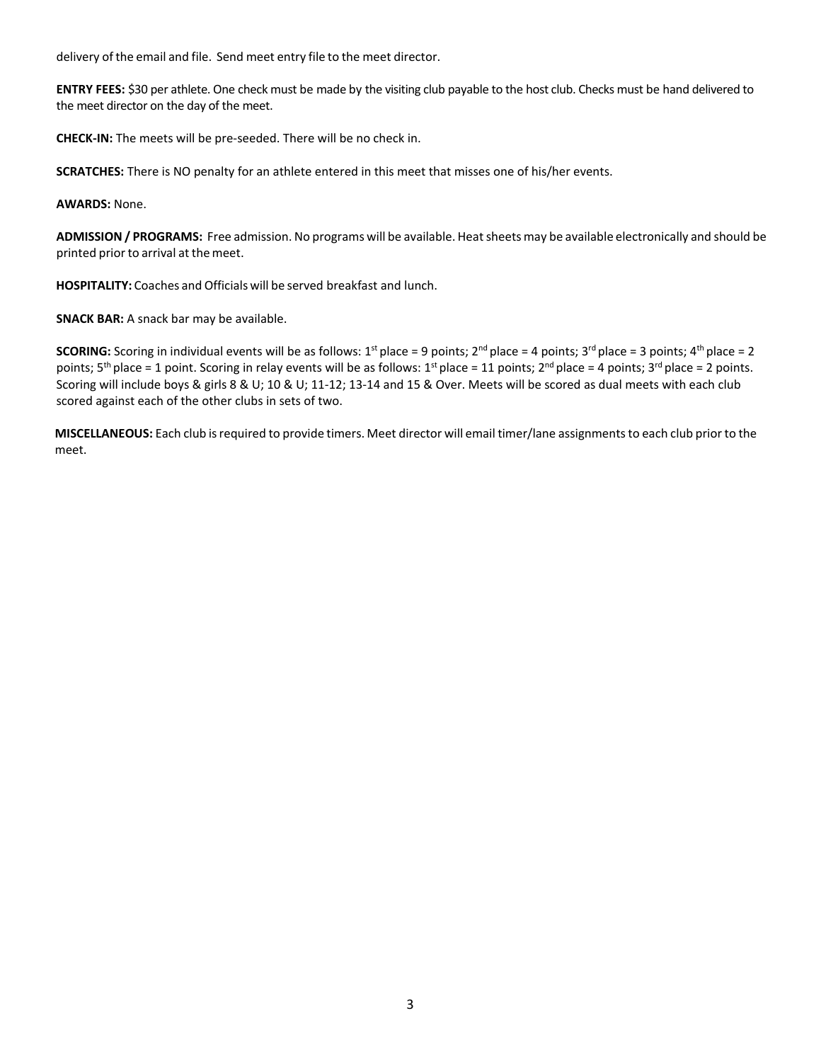delivery of the email and file. Send meet entry file to the meet director.

**ENTRY FEES:** \$30 per athlete. One check must be made by the visiting club payable to the host club. Checks must be hand delivered to the meet director on the day of the meet.

**CHECK-IN:** The meets will be pre-seeded. There will be no check in.

**SCRATCHES:** There is NO penalty for an athlete entered in this meet that misses one of his/her events.

**AWARDS:** None.

**ADMISSION / PROGRAMS:** Free admission. No programs will be available. Heatsheets may be available electronically and should be printed prior to arrival at themeet.

**HOSPITALITY:** Coaches and Officials will be served breakfast and lunch.

**SNACK BAR:** A snack bar may be available.

**SCORING:** Scoring in individual events will be as follows:  $1^{st}$  place = 9 points;  $2^{nd}$  place = 4 points;  $3^{rd}$  place = 3 points;  $4^{th}$  place = 2 points;  $5^{th}$  place = 1 point. Scoring in relay events will be as follows:  $1^{st}$  place = 11 points;  $2^{nd}$  place = 4 points;  $3^{rd}$  place = 2 points. Scoring will include boys & girls 8 & U; 10 & U; 11-12; 13-14 and 15 & Over. Meets will be scored as dual meets with each club scored against each of the other clubs in sets of two.

**MISCELLANEOUS:** Each club isrequired to provide timers. Meet director will email timer/lane assignmentsto each club prior to the meet.